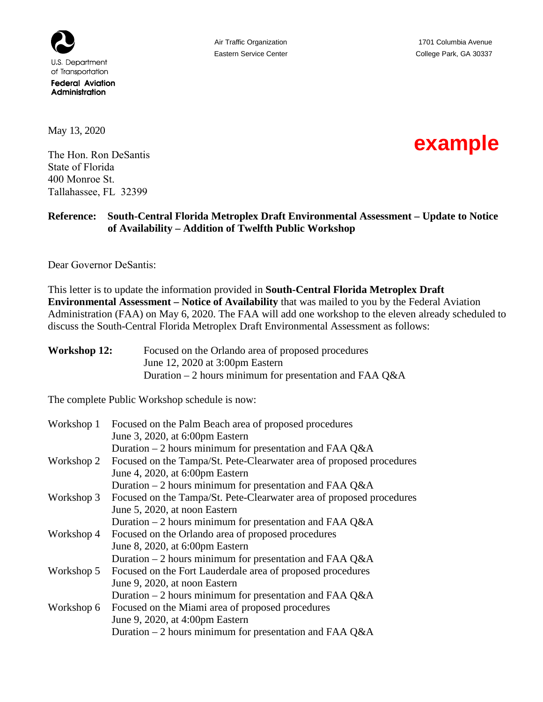

May 13, 2020

The Hon. Ron DeSantis State of Florida 400 Monroe St. Tallahassee, FL 32399

## **example**

## **Reference: South-Central Florida Metroplex Draft Environmental Assessment – Update to Notice of Availability – Addition of Twelfth Public Workshop**

Dear Governor DeSantis:

This letter is to update the information provided in **South-Central Florida Metroplex Draft Environmental Assessment – Notice of Availability** that was mailed to you by the Federal Aviation Administration (FAA) on May 6, 2020. The FAA will add one workshop to the eleven already scheduled to discuss the South-Central Florida Metroplex Draft Environmental Assessment as follows:

| <b>Workshop 12:</b> | Focused on the Orlando area of proposed procedures       |
|---------------------|----------------------------------------------------------|
|                     | June 12, 2020 at 3:00pm Eastern                          |
|                     | Duration $-2$ hours minimum for presentation and FAA Q&A |

The complete Public Workshop schedule is now:

| Workshop 1 | Focused on the Palm Beach area of proposed procedures                |
|------------|----------------------------------------------------------------------|
|            | June 3, 2020, at 6:00pm Eastern                                      |
|            | Duration – 2 hours minimum for presentation and FAA Q&A              |
| Workshop 2 | Focused on the Tampa/St. Pete-Clearwater area of proposed procedures |
|            | June 4, 2020, at 6:00pm Eastern                                      |
|            | Duration $-2$ hours minimum for presentation and FAA Q&A             |
| Workshop 3 | Focused on the Tampa/St. Pete-Clearwater area of proposed procedures |
|            | June 5, 2020, at noon Eastern                                        |
|            | Duration $-2$ hours minimum for presentation and FAA Q&A             |
| Workshop 4 | Focused on the Orlando area of proposed procedures                   |
|            | June 8, 2020, at 6:00pm Eastern                                      |
|            | Duration $-2$ hours minimum for presentation and FAA Q&A             |
| Workshop 5 | Focused on the Fort Lauderdale area of proposed procedures           |
|            | June 9, 2020, at noon Eastern                                        |
|            | Duration $-2$ hours minimum for presentation and FAA Q&A             |
| Workshop 6 | Focused on the Miami area of proposed procedures                     |
|            | June 9, 2020, at 4:00pm Eastern                                      |
|            | Duration – 2 hours minimum for presentation and FAA Q&A              |